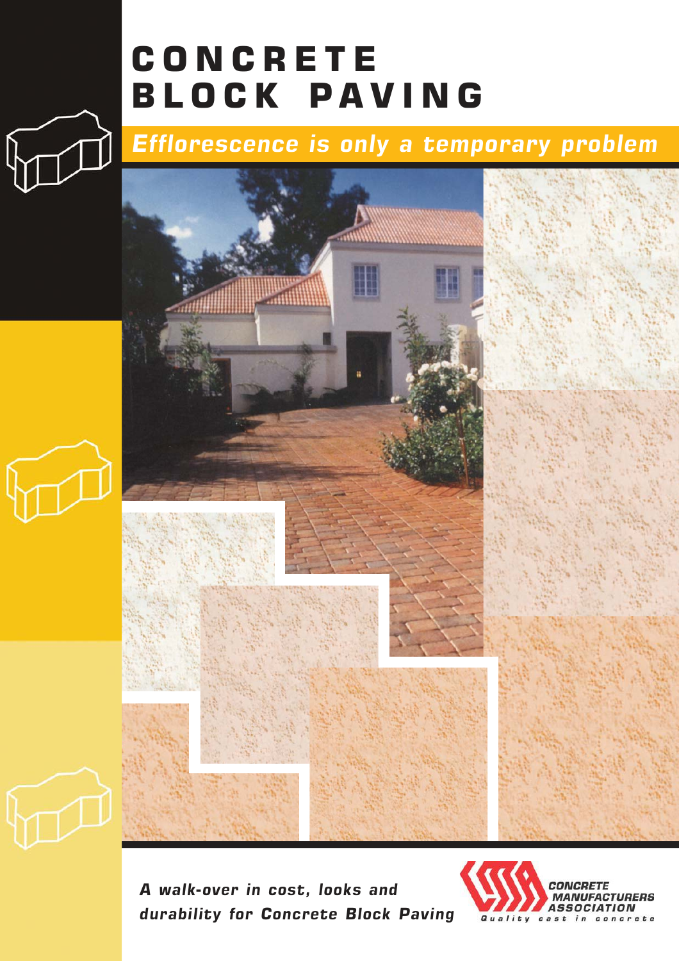# **CONCRETE** BLOCK PAVING

## Efflorescence is only a temporary problem



A walk-over in cost, looks and durability for Concrete Block Paving

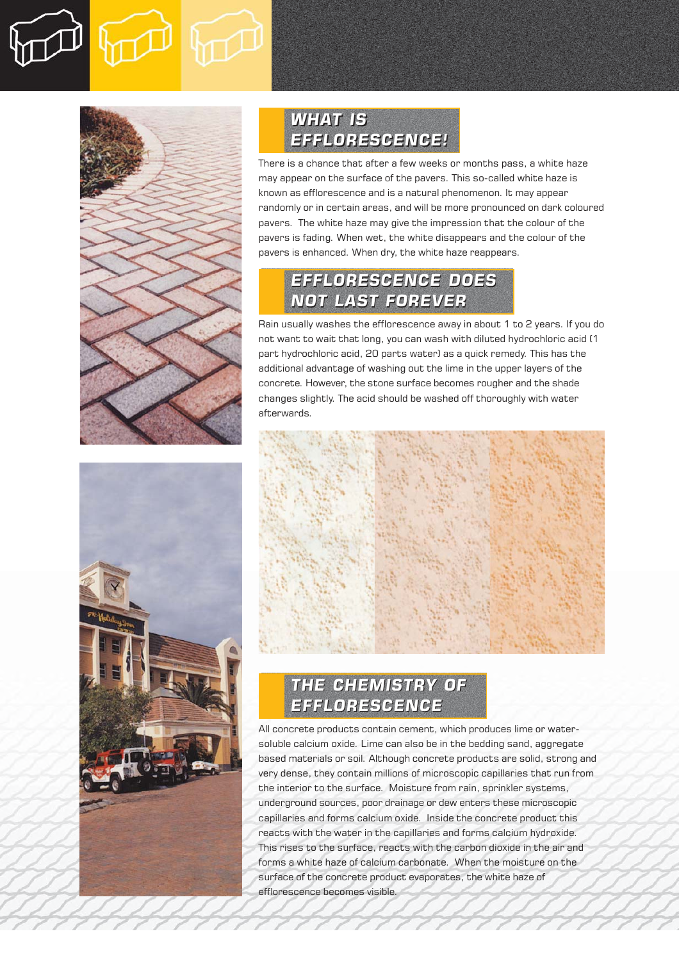



### WHAT IS WHAT IS EFFLORESCENCE! EFFLORESCENCE!

There is a chance that after a few weeks or months pass, a white haze may appear on the surface of the pavers. This so-called white haze is known as efflorescence and is a natural phenomenon. It may appear randomly or in certain areas, and will be more pronounced on dark coloured pavers. The white haze may give the impression that the colour of the pavers is fading. When wet, the white disappears and the colour of the pavers is enhanced. When dry, the white haze reappears.

### EFFLORESCENCE DOES EFFLORESCENCE DOES NOT LAST FOREVER NOT LAST FOREVER

Rain usually washes the efflorescence away in about 1 to 2 years. If you do not want to wait that long, you can wash with diluted hydrochloric acid (1 part hydrochloric acid, 20 parts water) as a quick remedy. This has the additional advantage of washing out the lime in the upper layers of the concrete. However, the stone surface becomes rougher and the shade changes slightly. The acid should be washed off thoroughly with water afterwards.



#### THE CHEMISTRY OF THE CHEMISTRY OF EFFLORESCENCE EFFLORESCENCE

All concrete products contain cement, which produces lime or watersoluble calcium oxide. Lime can also be in the bedding sand, aggregate based materials or soil. Although concrete products are solid, strong and very dense, they contain millions of microscopic capillaries that run from the interior to the surface. Moisture from rain, sprinkler systems, underground sources, poor drainage or dew enters these microscopic capillaries and forms calcium oxide. Inside the concrete product this reacts with the water in the capillaries and forms calcium hydroxide. This rises to the surface, reacts with the carbon dioxide in the air and forms a white haze of calcium carbonate. When the moisture on the surface of the concrete product evaporates, the white haze of efflorescence becomes visible.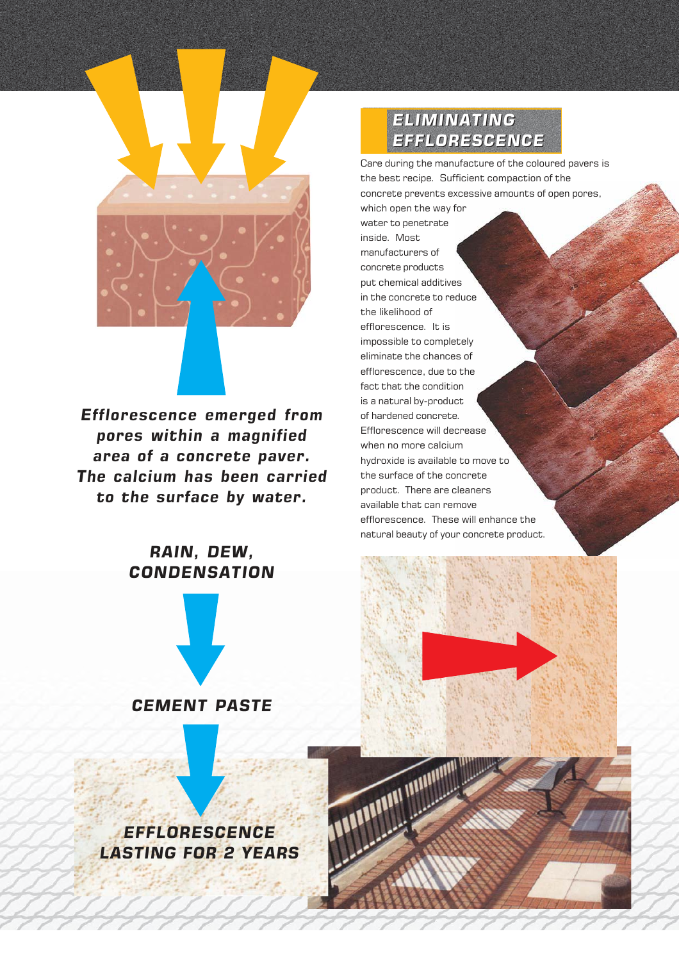

Efflorescence emerged from pores within a magnified area of a concrete paver. The calcium has been carried to the surface by water.

#### RAIN, DEW, CONDENSATION



#### **EFFLORESCENCE** LASTING FOR 2 YEARS

#### ELIMINATING ELIMINATING EFFLORESCENCE EFFLORESCENCE

Care during the manufacture of the coloured pavers is the best recipe. Sufficient compaction of the concrete prevents excessive amounts of open pores, which open the way for water to penetrate inside. Most manufacturers of concrete products put chemical additives in the concrete to reduce the likelihood of efflorescence. It is impossible to completely eliminate the chances of efflorescence, due to the fact that the condition is a natural by-product of hardened concrete. Efflorescence will decrease when no more calcium hydroxide is available to move to the surface of the concrete product. There are cleaners

available that can remove efflorescence. These will enhance the natural beauty of your concrete product.